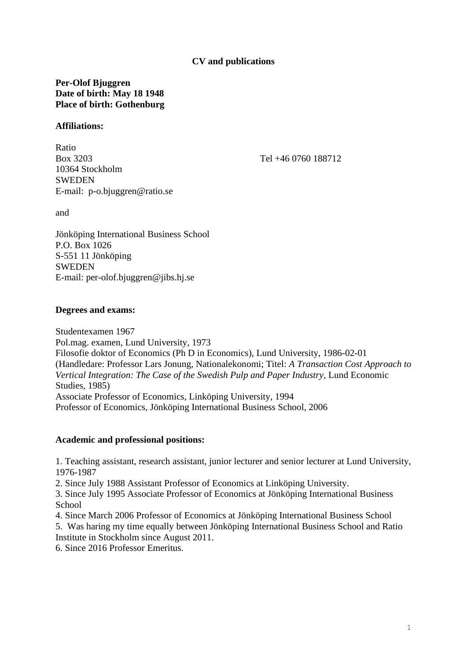## **CV and publications**

## **Per-Olof Bjuggren Date of birth: May 18 1948 Place of birth: Gothenburg**

#### **Affiliations:**

Ratio Box 3203 Tel +46 0760 188712 10364 Stockholm **SWEDEN** E-mail: p-o.bjuggren@ratio.se

and

Jönköping International Business School P.O. Box 1026 S-551 11 Jönköping **SWEDEN** E-mail: per-olof.bjuggren@jibs.hj.se

### **Degrees and exams:**

Studentexamen 1967 Pol.mag. examen, Lund University, 1973 Filosofie doktor of Economics (Ph D in Economics), Lund University, 1986-02-01 (Handledare: Professor Lars Jonung, Nationalekonomi; Titel: *A Transaction Cost Approach to Vertical Integration: The Case of the Swedish Pulp and Paper Industry*, Lund Economic Studies, 1985) Associate Professor of Economics, Linköping University, 1994 Professor of Economics, Jönköping International Business School, 2006

#### **Academic and professional positions:**

1. Teaching assistant, research assistant, junior lecturer and senior lecturer at Lund University, 1976-1987

2. Since July 1988 Assistant Professor of Economics at Linköping University.

3. Since July 1995 Associate Professor of Economics at Jönköping International Business **School** 

4. Since March 2006 Professor of Economics at Jönköping International Business School

5. Was haring my time equally between Jönköping International Business School and Ratio Institute in Stockholm since August 2011.

6. Since 2016 Professor Emeritus.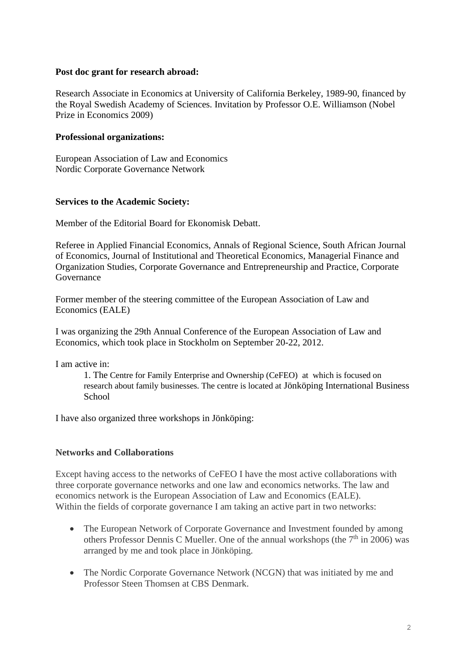#### **Post doc grant for research abroad:**

Research Associate in Economics at University of California Berkeley, 1989-90, financed by the Royal Swedish Academy of Sciences. Invitation by Professor O.E. Williamson (Nobel Prize in Economics 2009)

### **Professional organizations:**

European Association of Law and Economics Nordic Corporate Governance Network

### **Services to the Academic Society:**

Member of the Editorial Board for Ekonomisk Debatt.

Referee in Applied Financial Economics, Annals of Regional Science, South African Journal of Economics, Journal of Institutional and Theoretical Economics, Managerial Finance and Organization Studies, Corporate Governance and Entrepreneurship and Practice, Corporate Governance

Former member of the steering committee of the European Association of Law and Economics (EALE)

I was organizing the 29th Annual Conference of the European Association of Law and Economics, which took place in Stockholm on September 20-22, 2012.

I am active in:

1. The Centre for Family Enterprise and Ownership (CeFEO) at which is focused on research about family businesses. The centre is located at Jönköping International Business **School** 

I have also organized three workshops in Jönköping:

## **Networks and Collaborations**

Except having access to the networks of CeFEO I have the most active collaborations with three corporate governance networks and one law and economics networks. The law and economics network is the European Association of Law and Economics (EALE). Within the fields of corporate governance I am taking an active part in two networks:

- The European Network of Corporate Governance and Investment founded by among others Professor Dennis C Mueller. One of the annual workshops (the  $7<sup>th</sup>$  in 2006) was arranged by me and took place in Jönköping.
- The Nordic Corporate Governance Network (NCGN) that was initiated by me and Professor Steen Thomsen at CBS Denmark.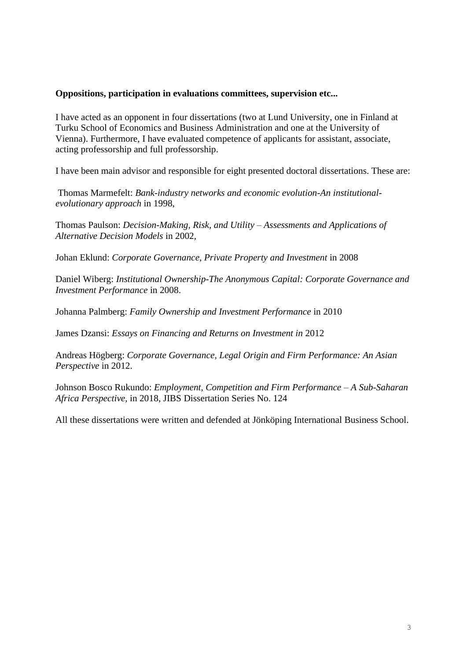#### **Oppositions, participation in evaluations committees, supervision etc...**

I have acted as an opponent in four dissertations (two at Lund University, one in Finland at Turku School of Economics and Business Administration and one at the University of Vienna). Furthermore, I have evaluated competence of applicants for assistant, associate, acting professorship and full professorship.

I have been main advisor and responsible for eight presented doctoral dissertations. These are:

Thomas Marmefelt: *Bank-industry networks and economic evolution-An institutionalevolutionary approach* in 1998,

Thomas Paulson: *Decision-Making, Risk, and Utility – Assessments and Applications of Alternative Decision Models* in 2002,

Johan Eklund: *Corporate Governance, Private Property and Investment* in 2008

Daniel Wiberg: *Institutional Ownership-The Anonymous Capital: Corporate Governance and Investment Performance* in 2008.

Johanna Palmberg: *Family Ownership and Investment Performance* in 2010

James Dzansi: *Essays on Financing and Returns on Investment in* 2012

Andreas Högberg: *Corporate Governance, Legal Origin and Firm Performance: An Asian Perspective* in 2012.

Johnson Bosco Rukundo: *Employment, Competition and Firm Performance – A Sub-Saharan Africa Perspective*, in 2018, JIBS Dissertation Series No. 124

All these dissertations were written and defended at Jönköping International Business School.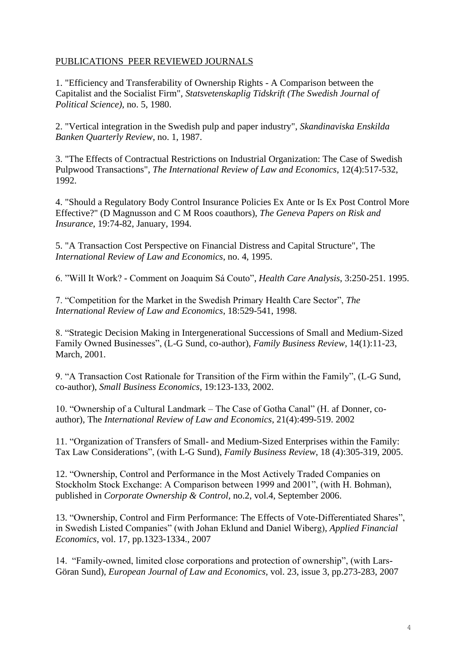## PUBLICATIONS PEER REVIEWED JOURNALS

1. "Efficiency and Transferability of Ownership Rights - A Comparison between the Capitalist and the Socialist Firm", *Statsvetenskaplig Tidskrift (The Swedish Journal of Political Science)*, no. 5, 1980.

2. "Vertical integration in the Swedish pulp and paper industry", *Skandinaviska Enskilda Banken Quarterly Review*, no. 1, 1987.

3. "The Effects of Contractual Restrictions on Industrial Organization: The Case of Swedish Pulpwood Transactions", *The International Review of Law and Economics*, 12(4):517-532, 1992.

4. "Should a Regulatory Body Control Insurance Policies Ex Ante or Is Ex Post Control More Effective?" (D Magnusson and C M Roos coauthors), *The Geneva Papers on Risk and Insurance*, 19:74-82, January, 1994.

5. "A Transaction Cost Perspective on Financial Distress and Capital Structure", The *International Review of Law and Economics*, no. 4, 1995.

6. "Will It Work? - Comment on Joaquim Sá Couto", *Health Care Analysis*, 3:250-251. 1995.

7. "Competition for the Market in the Swedish Primary Health Care Sector", *The International Review of Law and Economics*, 18:529-541, 1998.

8. "Strategic Decision Making in Intergenerational Successions of Small and Medium-Sized Family Owned Businesses", (L-G Sund, co-author), *Family Business Review*, 14(1):11-23, March, 2001.

9. "A Transaction Cost Rationale for Transition of the Firm within the Family", (L-G Sund, co-author), *Small Business Economics*, 19:123-133, 2002.

10. "Ownership of a Cultural Landmark – The Case of Gotha Canal" (H. af Donner, coauthor), The *International Review of Law and Economics*, 21(4):499-519. 2002

11. "Organization of Transfers of Small- and Medium-Sized Enterprises within the Family: Tax Law Considerations", (with L-G Sund), *Family Business Review*, 18 (4):305-319, 2005.

12. "Ownership, Control and Performance in the Most Actively Traded Companies on Stockholm Stock Exchange: A Comparison between 1999 and 2001", (with H. Bohman), published in *Corporate Ownership & Control*, no.2, vol.4, September 2006.

13. "Ownership, Control and Firm Performance: The Effects of Vote-Differentiated Shares", in Swedish Listed Companies" (with Johan Eklund and Daniel Wiberg), *Applied Financial Economics*, vol. 17, pp.1323-1334., 2007

14. "Family-owned, limited close corporations and protection of ownership", (with Lars-Göran Sund), *European Journal of Law and Economics,* vol. 23, issue 3, pp.273-283, 2007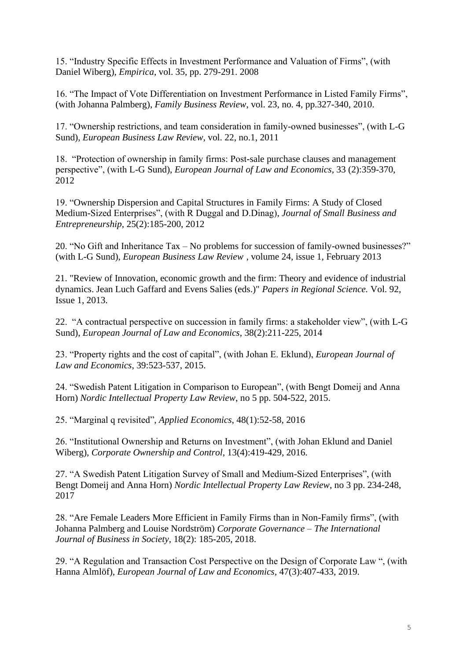15. "Industry Specific Effects in Investment Performance and Valuation of Firms", (with Daniel Wiberg), *Empirica*, vol. 35, pp. 279-291. 2008

16. "The Impact of Vote Differentiation on Investment Performance in Listed Family Firms", (with Johanna Palmberg), *Family Business Review*, vol. 23, no. 4, pp.327-340, 2010.

17. "Ownership restrictions, and team consideration in family-owned businesses", (with L-G Sund), *European Business Law Review*, vol. 22, no.1, 2011

18. "Protection of ownership in family firms: Post-sale purchase clauses and management perspective", (with L-G Sund), *European Journal of Law and Economics,* 33 (2):359-370, 2012

19. "Ownership Dispersion and Capital Structures in Family Firms: A Study of Closed Medium-Sized Enterprises", (with R Duggal and D.Dinag), *Journal of Small Business and Entrepreneurship*, 25(2):185-200, 2012

20. "No Gift and Inheritance Tax – No problems for succession of family-owned businesses?" (with L-G Sund), *European Business Law Review* , volume 24, issue 1, February 2013

21. "Review of Innovation, economic growth and the firm: Theory and evidence of industrial dynamics. Jean Luch Gaffard and Evens Salies (eds.)" *Papers in Regional Science.* Vol. 92, Issue 1, 2013.

22. "A contractual perspective on succession in family firms: a stakeholder view", (with L-G Sund), *European Journal of Law and Economics*, 38(2):211-225, 2014

23. "Property rights and the cost of capital", (with Johan E. Eklund), *European Journal of Law and Economics*, 39:523-537, 2015.

24. "Swedish Patent Litigation in Comparison to European", (with Bengt Domeij and Anna Horn) *Nordic Intellectual Property Law Review*, no 5 pp. 504-522, 2015.

25. "Marginal q revisited", *Applied Economics*, 48(1):52-58, 2016

26. "Institutional Ownership and Returns on Investment", (with Johan Eklund and Daniel Wiberg), *Corporate Ownership and Control*, 13(4):419-429, 2016.

27. "A Swedish Patent Litigation Survey of Small and Medium-Sized Enterprises", (with Bengt Domeij and Anna Horn) *Nordic Intellectual Property Law Review*, no 3 pp. 234-248, 2017

28. "Are Female Leaders More Efficient in Family Firms than in Non-Family firms", (with Johanna Palmberg and Louise Nordström) *Corporate Governance – The International Journal of Business in Society*, 18(2): 185-205, 2018.

29. "A Regulation and Transaction Cost Perspective on the Design of Corporate Law ", (with Hanna Almlöf), *European Journal of Law and Economics,* 47(3):407-433, 2019.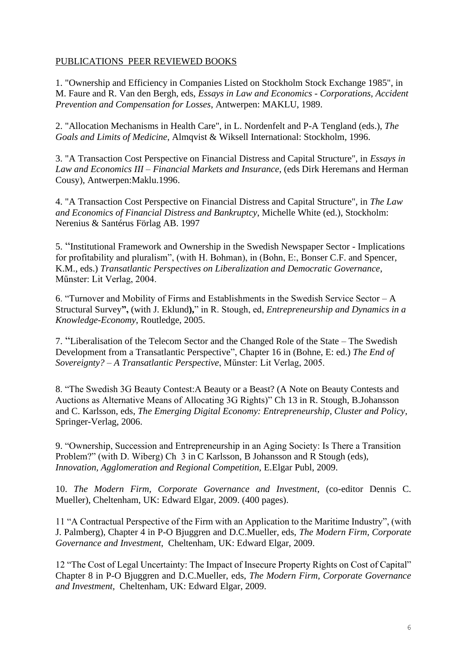## PUBLICATIONS PEER REVIEWED BOOKS

1. "Ownership and Efficiency in Companies Listed on Stockholm Stock Exchange 1985", in M. Faure and R. Van den Bergh, eds, *Essays in Law and Economics - Corporations, Accident Prevention and Compensation for Losses*, Antwerpen: MAKLU, 1989.

2. "Allocation Mechanisms in Health Care", in L. Nordenfelt and P-A Tengland (eds.), *The Goals and Limits of Medicine*, Almqvist & Wiksell International: Stockholm, 1996.

3. "A Transaction Cost Perspective on Financial Distress and Capital Structure", in *Essays in Law and Economics III – Financial Markets and Insurance*, (eds Dirk Heremans and Herman Cousy), Antwerpen:Maklu.1996.

4. "A Transaction Cost Perspective on Financial Distress and Capital Structure", in *The Law and Economics of Financial Distress and Bankruptcy*, Michelle White (ed.), Stockholm: Nerenius & Santérus Förlag AB. 1997

5. "Institutional Framework and Ownership in the Swedish Newspaper Sector - Implications for profitability and pluralism", (with H. Bohman), in (Bohn, E:, Bonser C.F. and Spencer, K.M., eds.) *Transatlantic Perspectives on Liberalization and Democratic Governance*, Műnster: Lit Verlag, 2004.

6. "Turnover and Mobility of Firms and Establishments in the Swedish Service Sector – A Structural Survey**",** (with J. Eklund**),**" in R. Stough, ed, *Entrepreneurship and Dynamics in a Knowledge-Economy*, Routledge, 2005.

7. "Liberalisation of the Telecom Sector and the Changed Role of the State – The Swedish Development from a Transatlantic Perspective", Chapter 16 in (Bohne, E: ed.) *The End of Sovereignty? – A Transatlantic Perspective*, Műnster: Lit Verlag, 2005.

8. "The Swedish 3G Beauty Contest:A Beauty or a Beast? (A Note on Beauty Contests and Auctions as Alternative Means of Allocating 3G Rights)" Ch 13 in R. Stough, B.Johansson and C. Karlsson, eds, *The Emerging Digital Economy: Entrepreneurship, Cluster and Policy*, Springer-Verlag, 2006.

9. "Ownership, Succession and Entrepreneurship in an Aging Society: Is There a Transition Problem?" (with D. Wiberg) Ch 3 in C Karlsson, B Johansson and R Stough (eds), *Innovation, Agglomeration and Regional Competition,* E.Elgar Publ, 2009.

10. *The Modern Firm, Corporate Governance and Investment*, (co-editor Dennis C. Mueller), Cheltenham, UK: Edward Elgar, 2009. (400 pages).

11 "A Contractual Perspective of the Firm with an Application to the Maritime Industry", (with J. Palmberg), Chapter 4 in P-O Bjuggren and D.C.Mueller, eds, *The Modern Firm, Corporate Governance and Investment*, Cheltenham, UK: Edward Elgar, 2009.

12 "The Cost of Legal Uncertainty: The Impact of Insecure Property Rights on Cost of Capital" Chapter 8 in P-O Bjuggren and D.C.Mueller, eds, *The Modern Firm, Corporate Governance and Investment*, Cheltenham, UK: Edward Elgar, 2009.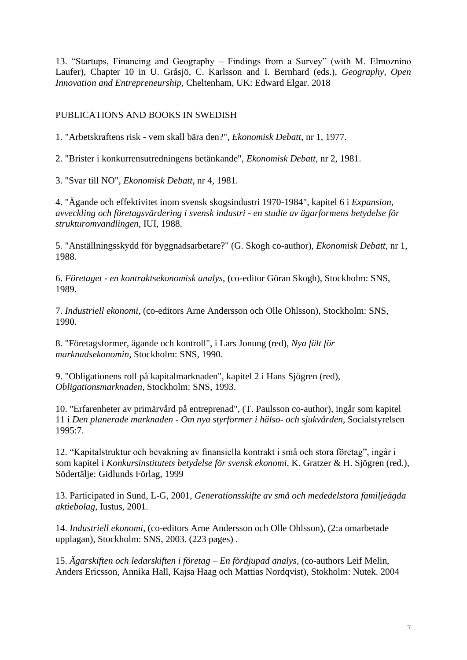13. "Startups, Financing and Geography – Findings from a Survey" (with M. Elmoznino Laufer), Chapter 10 in U. Gråsjö, C. Karlsson and I. Bernhard (eds.), *Geography, Open Innovation and Entrepreneurship,* Cheltenham, UK: Edward Elgar. 2018

## PUBLICATIONS AND BOOKS IN SWEDISH

1. "Arbetskraftens risk - vem skall bära den?", *Ekonomisk Debatt*, nr 1, 1977.

2. "Brister i konkurrensutredningens betänkande", *Ekonomisk Debatt*, nr 2, 1981.

3. "Svar till NO", *Ekonomisk Debatt*, nr 4, 1981.

4. "Ägande och effektivitet inom svensk skogsindustri 1970-1984", kapitel 6 i *Expansion, avveckling och företagsvärdering i svensk industri - en studie av ägarformens betydelse för strukturomvandlingen*, IUI, 1988.

5. "Anställningsskydd för byggnadsarbetare?" (G. Skogh co-author), *Ekonomisk Debatt*, nr 1, 1988.

6. *Företaget - en kontraktsekonomisk analys*, (co-editor Göran Skogh), Stockholm: SNS, 1989.

7. *Industriell ekonomi*, (co-editors Arne Andersson och Olle Ohlsson), Stockholm: SNS, 1990.

8. "Företagsformer, ägande och kontroll", i Lars Jonung (red), *Nya fält för marknadsekonomin*, Stockholm: SNS, 1990.

9. "Obligationens roll på kapitalmarknaden", kapitel 2 i Hans Sjögren (red), *Obligationsmarknaden*, Stockholm: SNS, 1993.

10. "Erfarenheter av primärvård på entreprenad", (T. Paulsson co-author), ingår som kapitel 11 i *Den planerade marknaden - Om nya styrformer i hälso- och sjukvården*, Socialstyrelsen 1995:7.

12. "Kapitalstruktur och bevakning av finansiella kontrakt i små och stora företag", ingår i som kapitel i *Konkursinstitutets betydelse för svensk ekonomi*, K. Gratzer & H. Sjögren (red.), Södertälje: Gidlunds Förlag, 1999

13. Participated in Sund, L-G, 2001, *Generationsskifte av små och mededelstora familjeägda aktiebolag*, Iustus, 2001.

14. *Industriell ekonomi*, (co-editors Arne Andersson och Olle Ohlsson), (2:a omarbetade upplagan), Stockholm: SNS, 2003. (223 pages) .

15. *Ägarskiften och ledarskiften i företag – En fördjupad analys*, (co-authors Leif Melin, Anders Ericsson, Annika Hall, Kajsa Haag och Mattias Nordqvist), Stokholm: Nutek. 2004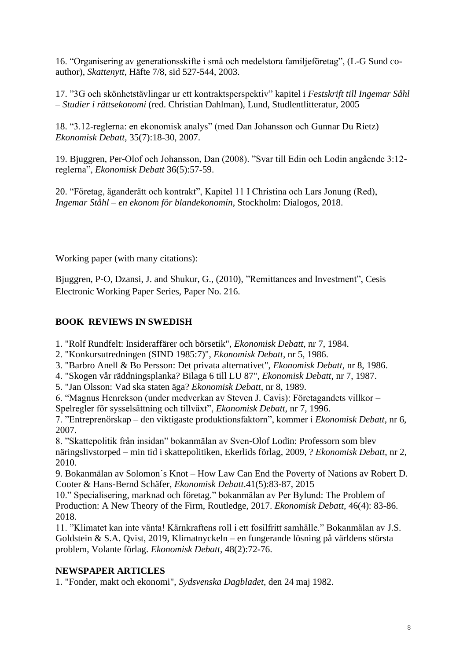16. "Organisering av generationsskifte i små och medelstora familjeföretag", (L-G Sund coauthor), *Skattenytt*, Häfte 7/8, sid 527-544, 2003.

17. "3G och skönhetstävlingar ur ett kontraktsperspektiv" kapitel i *Festskrift till Ingemar Såhl – Studier i rättsekonomi* (red. Christian Dahlman), Lund, Studlentlitteratur, 2005

18. "3.12-reglerna: en ekonomisk analys" (med Dan Johansson och Gunnar Du Rietz) *Ekonomisk Debatt*, 35(7):18-30, 2007.

19. Bjuggren, Per-Olof och Johansson, Dan (2008). "Svar till Edin och Lodin angående 3:12 reglerna", *Ekonomisk Debatt* 36(5):57-59.

20. "Företag, äganderätt och kontrakt", Kapitel 11 I Christina och Lars Jonung (Red), *Ingemar Ståhl – en ekonom för blandekonomin*, Stockholm: Dialogos, 2018.

Working paper (with many citations):

Bjuggren, P-O, Dzansi, J. and Shukur, G., (2010), "Remittances and Investment", Cesis Electronic Working Paper Series, Paper No. 216.

# **BOOK REVIEWS IN SWEDISH**

- 1. "Rolf Rundfelt: Insideraffärer och börsetik", *Ekonomisk Debatt*, nr 7, 1984.
- 2. "Konkursutredningen (SIND 1985:7)", *Ekonomisk Debatt*, nr 5, 1986.
- 3. "Barbro Anell & Bo Persson: Det privata alternativet", *Ekonomisk Debatt*, nr 8, 1986.
- 4. "Skogen vår räddningsplanka? Bilaga 6 till LU 87", *Ekonomisk Debatt*, nr 7, 1987.
- 5. "Jan Olsson: Vad ska staten äga? *Ekonomisk Debatt*, nr 8, 1989.
- 6. "Magnus Henrekson (under medverkan av Steven J. Cavis): Företagandets villkor –
- Spelregler för sysselsättning och tillväxt", *Ekonomisk Debatt*, nr 7, 1996.

7. "Entreprenörskap – den viktigaste produktionsfaktorn", kommer i *Ekonomisk Debatt*, nr 6, 2007.

8. "Skattepolitik från insidan" bokanmälan av Sven-Olof Lodin: Professorn som blev näringslivstorped – min tid i skattepolitiken, Ekerlids förlag, 2009, ? *Ekonomisk Debatt*, nr 2, 2010.

9. Bokanmälan av Solomon´s Knot – How Law Can End the Poverty of Nations av Robert D. Cooter & Hans-Bernd Schäfer, *Ekonomisk Debatt*.41(5):83-87, 2015

10." Specialisering, marknad och företag." bokanmälan av Per Bylund: The Problem of Production: A New Theory of the Firm, Routledge, 2017. *Ekonomisk Debatt,* 46(4): 83-86. 2018.

11. "Klimatet kan inte vänta! Kärnkraftens roll i ett fosilfritt samhälle." Bokanmälan av J.S. Goldstein & S.A. Qvist, 2019, Klimatnyckeln – en fungerande lösning på världens största problem, Volante förlag. *Ekonomisk Debatt*, 48(2):72-76.

# **NEWSPAPER ARTICLES**

1. "Fonder, makt och ekonomi", *Sydsvenska Dagbladet*, den 24 maj 1982.